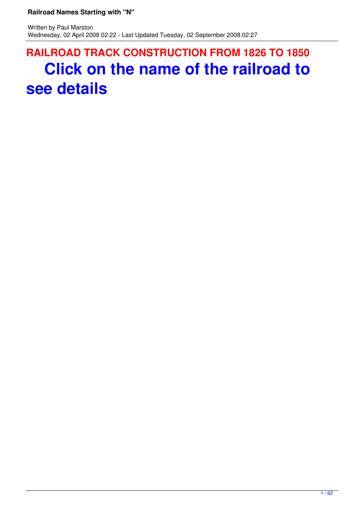### **RAILROAD TRACK CONSTRUCTION FROM 1826 TO 1850 Click on the name of the railroad to see details**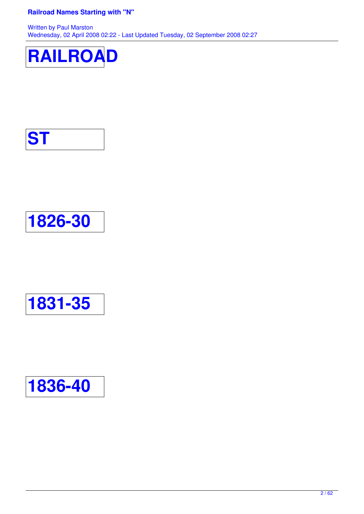







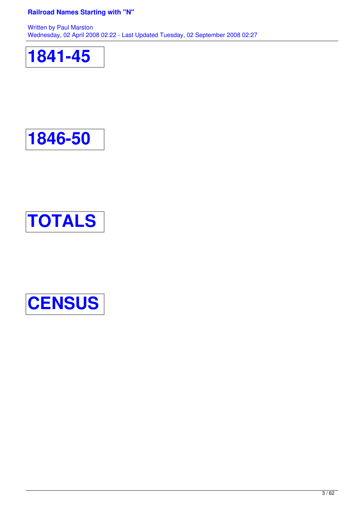





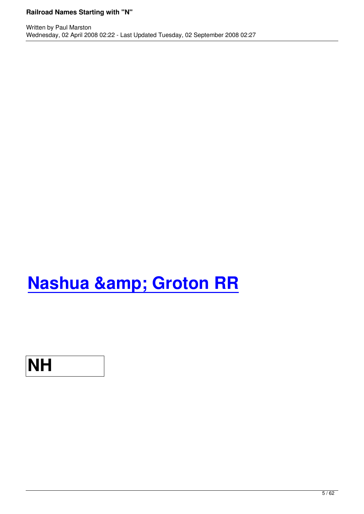# **Nashua & Groton RR**

## **NH**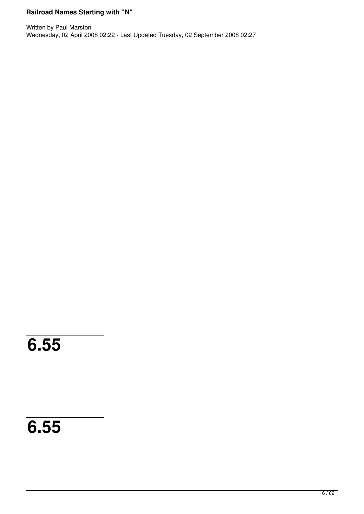### **6.55**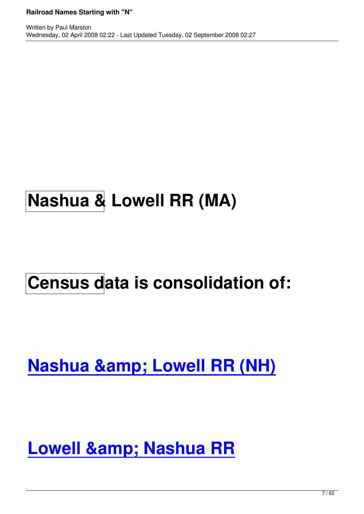## **Nashua & Lowell RR (MA)**

# **Census data is consolidation of:**

## **Nashua & amp; Lowell RR (NH)**

## **Lowell & amp; Nashua RR**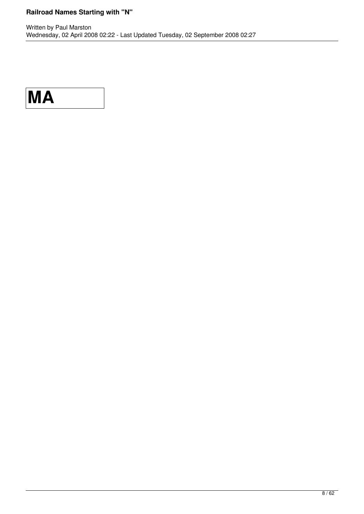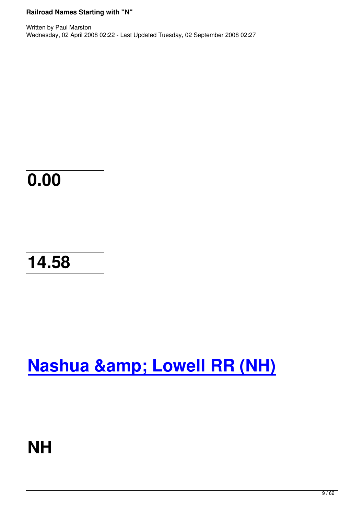### **14.58**

# **Nashua & amp; Lowell RR (NH)**

## **NH**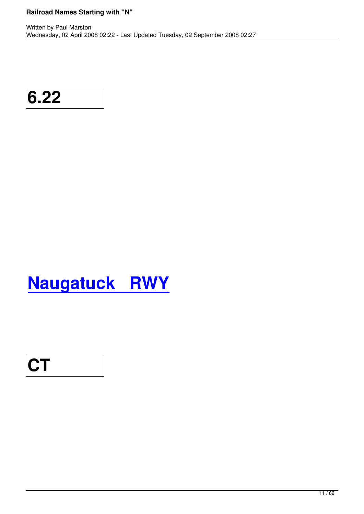## **Naugatuck RWY**

$$
\boxed{\text{CT}}
$$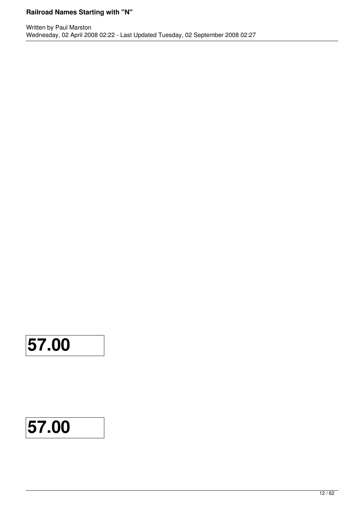### **57.00**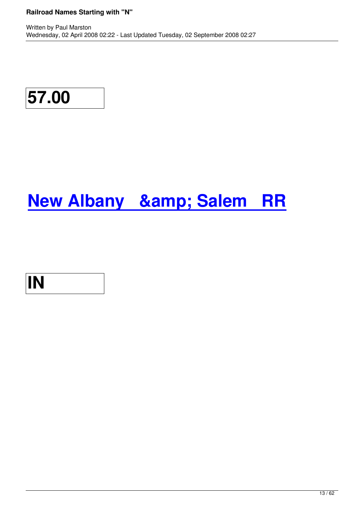## **New Albany & & & Salem RR**

### **IN**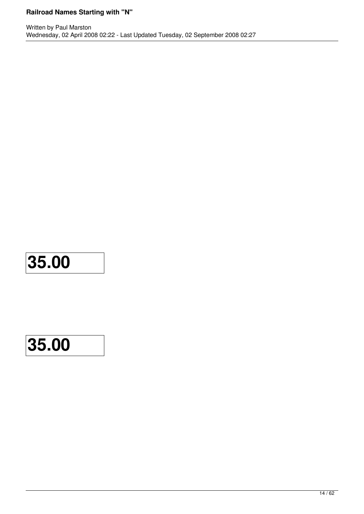### **35.00**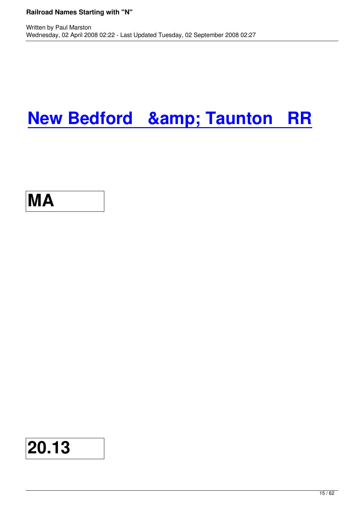## **New Bedford & amp; Taunton RR**



Written by Paul Marston by Paul Marston by Paul Marston by Paul Marston by Paul Marston by Paul Marston by Pau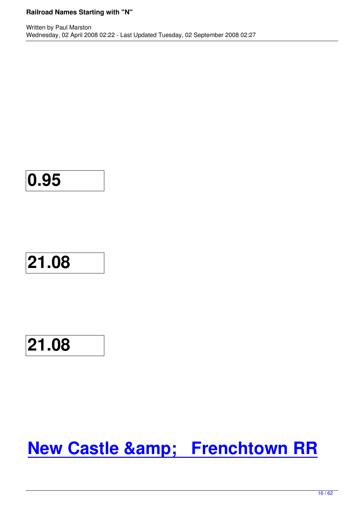### **21.08**

### **21.08**

## **New Castle & Frenchtown RR**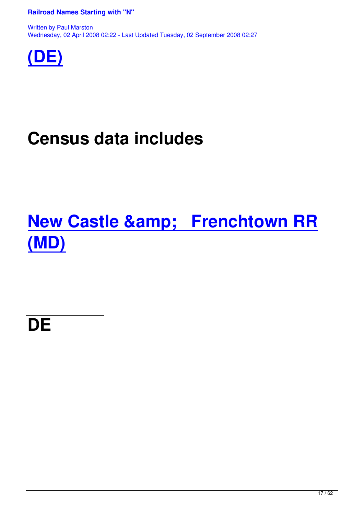

# **Census data includes**

# **New Castle & Frenchtown RR [\(MD\)](http://oldrailhistory.com/index.php?option=com_content&task=view&id=347&Itemid=385)**

**DE**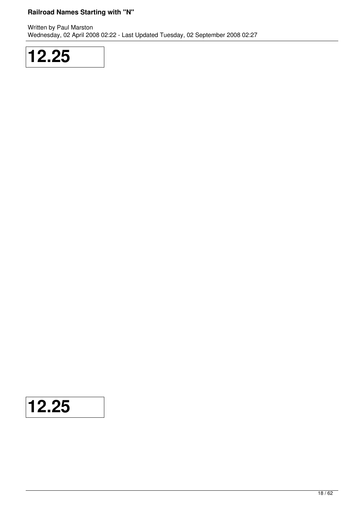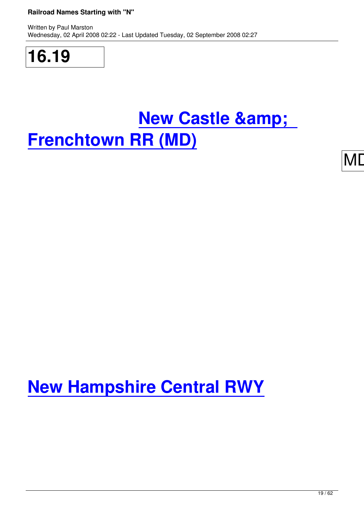Written by Paul Marston by Paul Marston by Paul Marston by Paul Marston by Paul Marston by Paul Marston by Pau

# **New Castle & Frenchtown RR (MD)**

MD

## **New Hampshire Central RWY**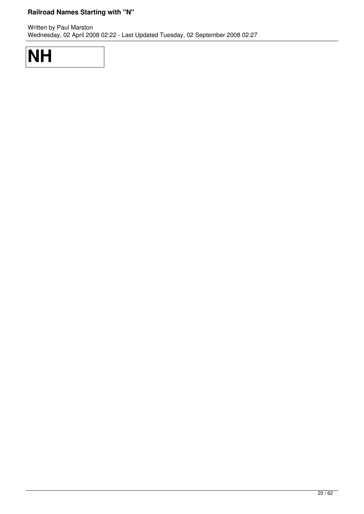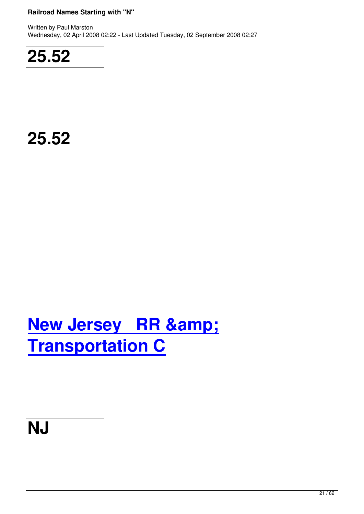



# **New Jersey RR & [Transportation C](http://oldrailhistory.com/index.php?option=com_content&task=view&id=241&Itemid=276)**

### **NJ**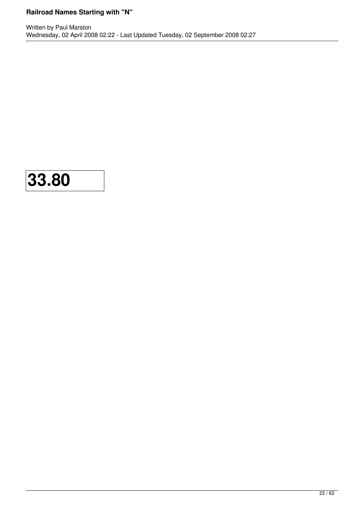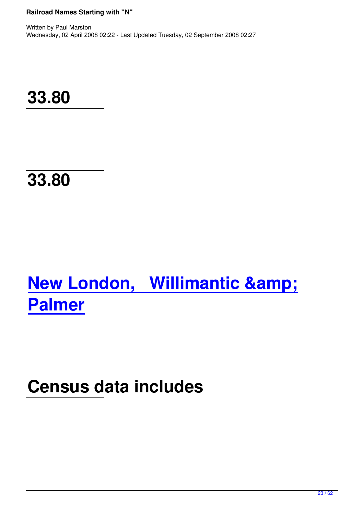**33.80**

# **New London, Willimantic & [Palmer](http://oldrailhistory.com/index.php?option=com_content&task=view&id=242&Itemid=277)**

# **Census data includes**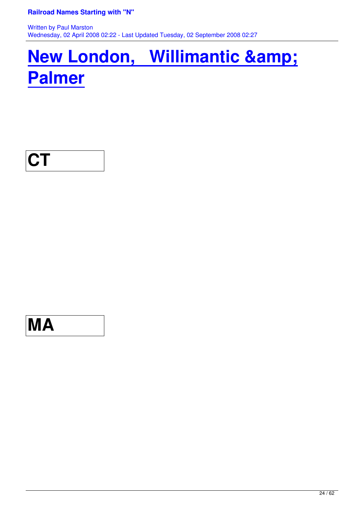Written by Paul Marston and Paul Marston and Paul Marston and Paul Marston and Paul Marston and Paul Marston and Wednesday, 02 April 2008 02:22 - Last Updated Tuesday, 02 September 2008 02:27

# **New London, Willimantic & [Palmer](http://oldrailhistory.com/index.php?option=com_content&task=view&id=243&Itemid=278)**

## **CT**

## **MA**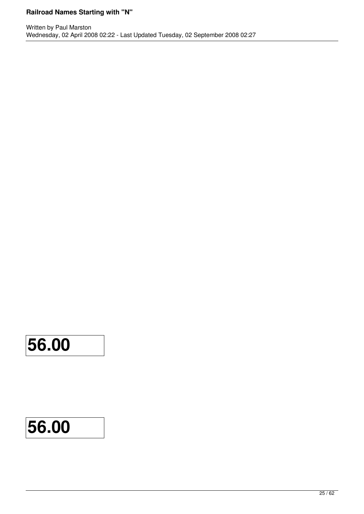### **56.00**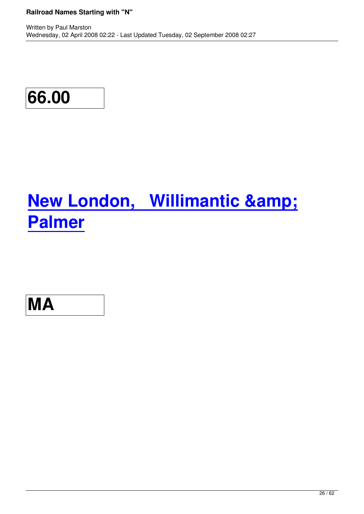# **New London, Willimantic & [Palmer](http://oldrailhistory.com/index.php?option=com_content&task=view&id=243&Itemid=278)**

### **MA**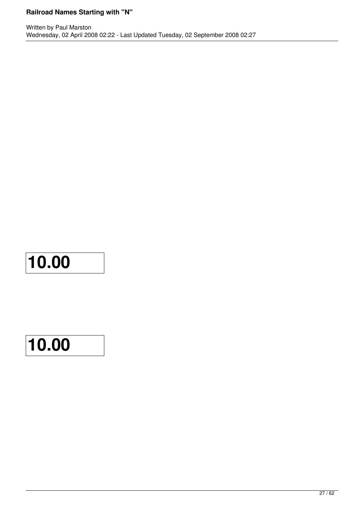### **10.00**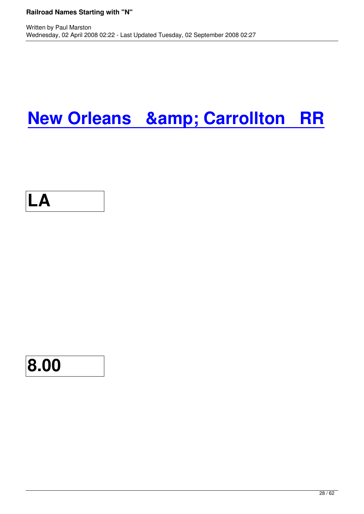## **New Orleans & amp; Carrollton RR**



Written by Paul Marston by Paul Marston by Paul Marston by Paul Marston by Paul Marston by Paul Marston by Pau

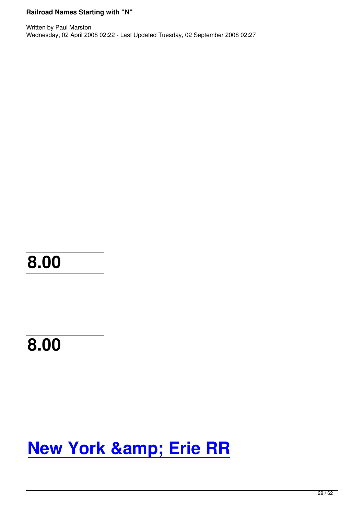## **8.00**

## **New York & amp; Erie RR**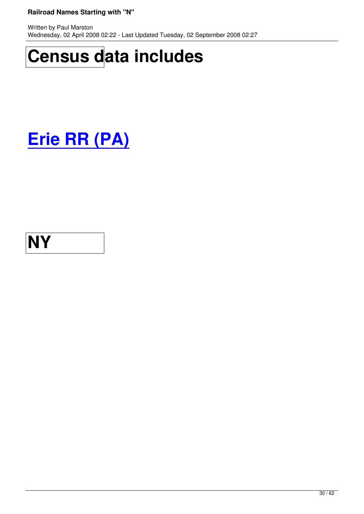# **Census data includes**

# **Erie RR (PA)**

### **NY**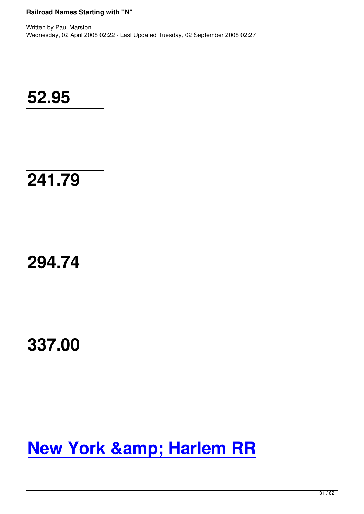$$
52.95
$$

## **294.74**

### **337.00**

## **New York & Harlem RR**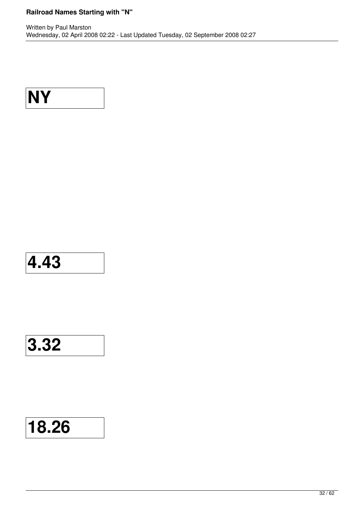

$$
\fbox{3.32}
$$

**18.26**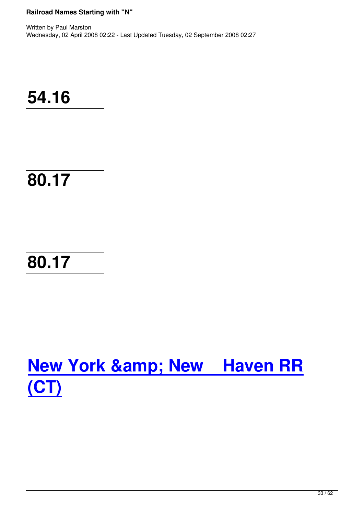$$
\fbox{54.16}
$$

## **80.17**

# **New York & New Haven RR [\(CT\)](http://oldrailhistory.com/index.php?option=com_content&task=view&id=247&Itemid=282)**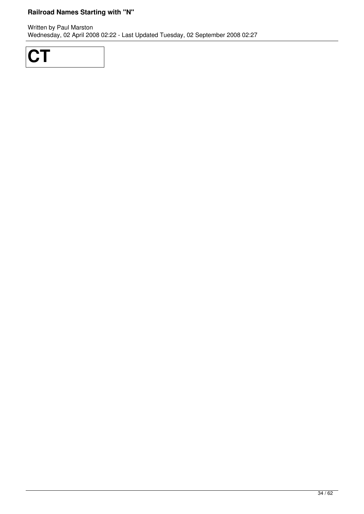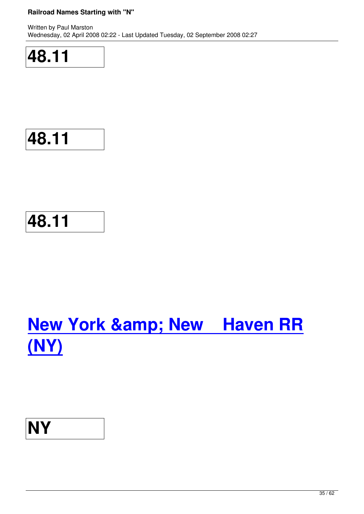# **48.11**

# **48.11**

# **New York & New Haven RR [\(NY\)](http://oldrailhistory.com/index.php?option=com_content&task=view&id=248&Itemid=283)**

## **NY**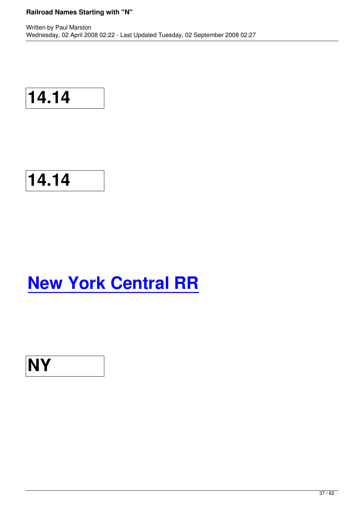$$
\overline{\mathbf{14.14}}
$$

## **New York Central RR**

$$
\boxed{\textbf{NY}}
$$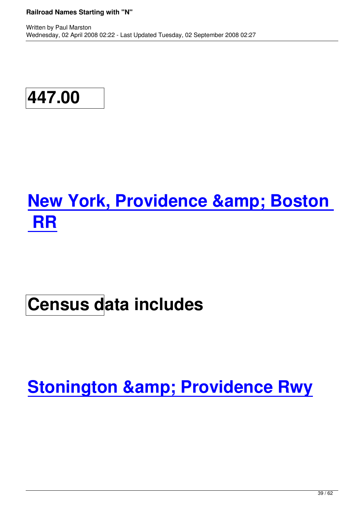**447.00**

## **New York, Providence & Boston  [RR](http://oldrailhistory.com/index.php?option=com_content&task=view&id=249&Itemid=284)**

## **Census data includes**

**Stonington & Providence Rwy**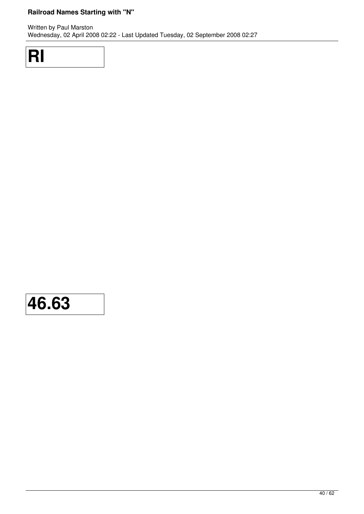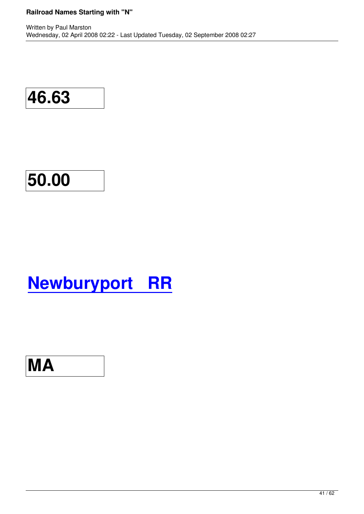## **50.00**

# **Newburyport RR**

## **MA**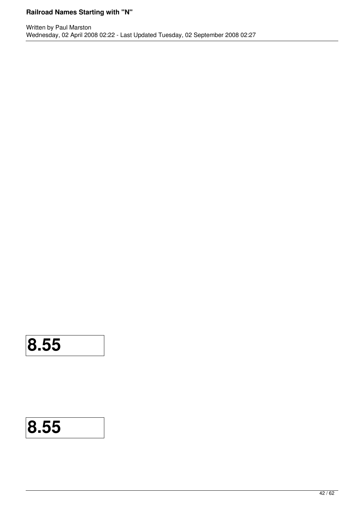### **8.55**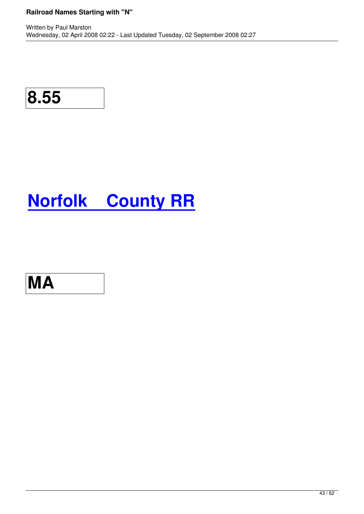# **Norfolk County RR**

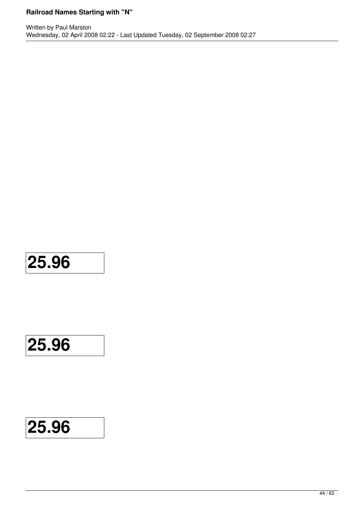### **25.96**

### **25.96**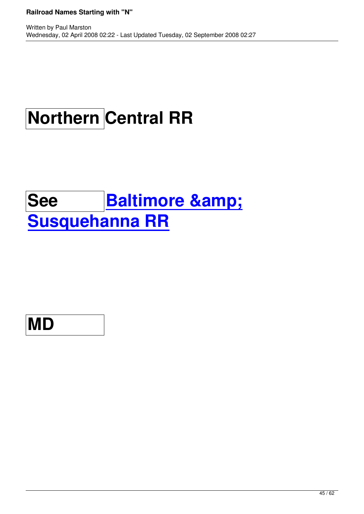# **Northern Central RR**

Written by Paul Marston by Paul Marston by Paul Marston by Paul Marston by Paul Marston by Paul Marston by Pau

## See Baltimore & **Susqueh[anna RR](http://oldrailhistory.com/index.php?option=com_content&task=view&id=59&Itemid=89)**

### **MD**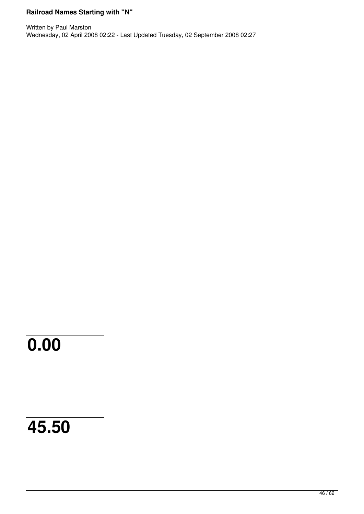### **0.00**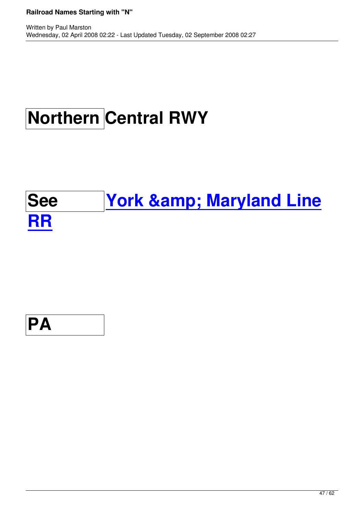# **Northern Central RWY**

Written by Paul Marston by Paul Marston by Paul Marston by Paul Marston by Paul Marston by Paul Marston by Pau

## **See York & Maryland Line RR**

### **PA**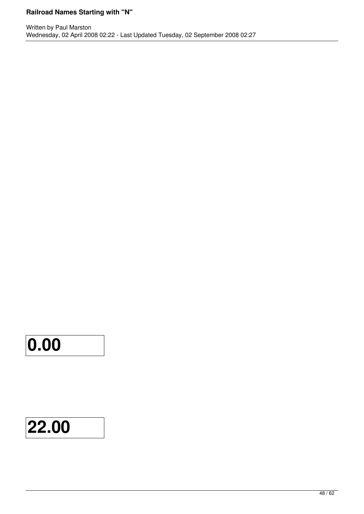### **0.00**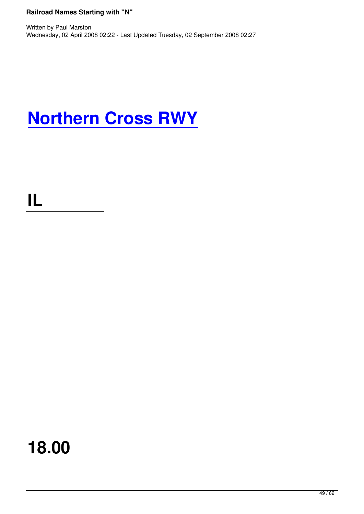## **Northern Cross RWY**



Written by Paul Marston by Paul Marston by Paul Marston by Paul Marston by Paul Marston by Paul Marston by Pau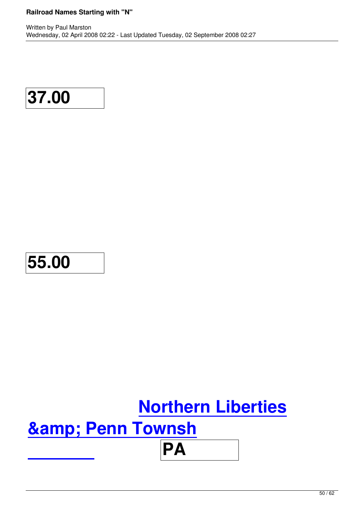

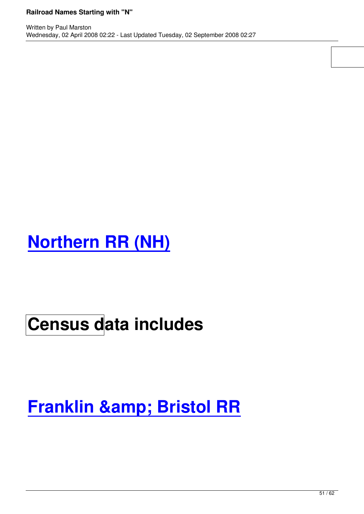**5.000 PM (2000)** 

# **Northern RR (NH)**

# **Census data includes**

## **Franklin & amp; Bristol RR**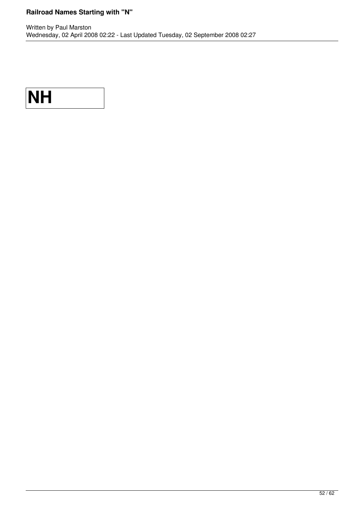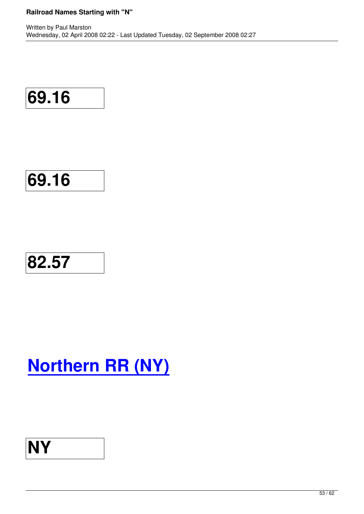$$
\fbox{69.16}
$$

$$
\boxed{\textbf{82.57}}
$$

# **Northern RR (NY)**

## **NY**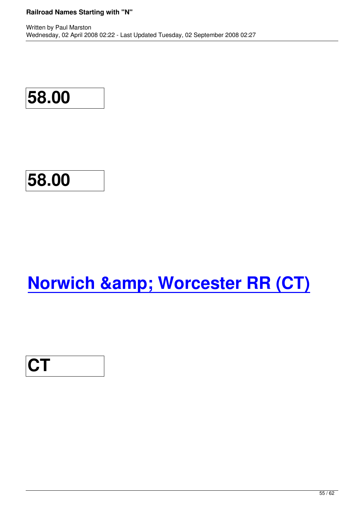## **58.00**

## **Norwich & Worcester RR (CT)**

# **CT**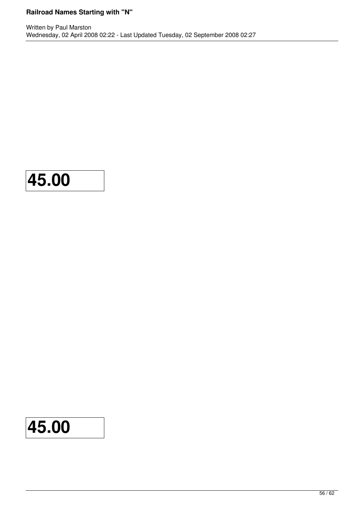

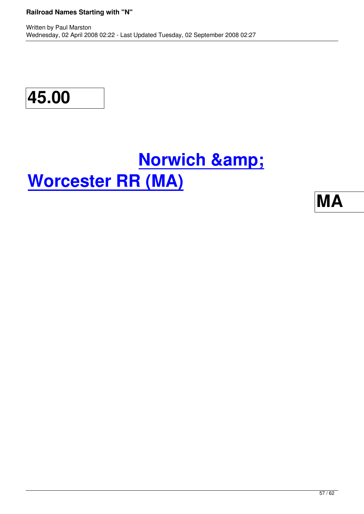**45.00**

# **Norwich & Worcester R[R \(MA\)](http://oldrailhistory.com/index.php?option=com_content&task=view&id=344&Itemid=380)**

**MA**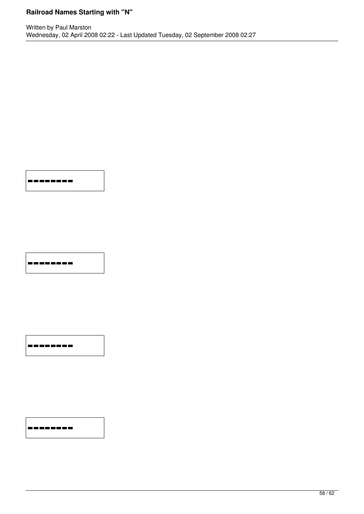**--------**

**--------**

**--------**

**--------**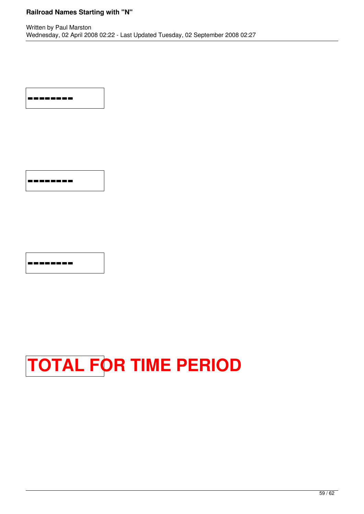**--------**

**--------**



# **TOTAL FOR TIME PERIOD**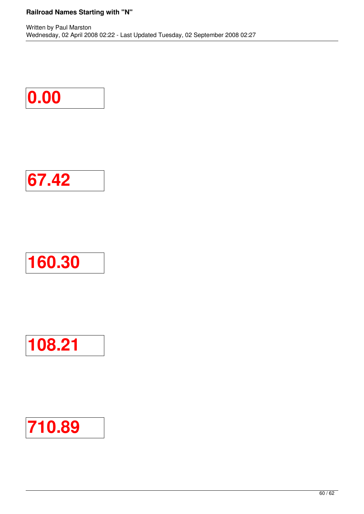